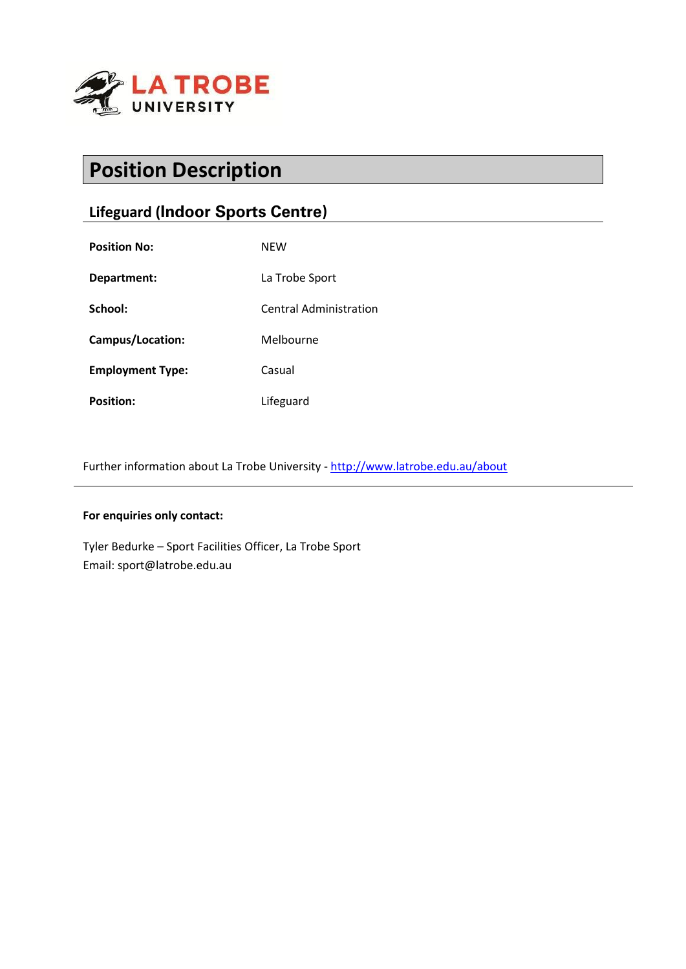

# **Position Description**

### **Lifeguard (Indoor Sports Centre)**

| <b>Position No:</b>     | <b>NEW</b>                    |
|-------------------------|-------------------------------|
| Department:             | La Trobe Sport                |
| School:                 | <b>Central Administration</b> |
| <b>Campus/Location:</b> | Melbourne                     |
| <b>Employment Type:</b> | Casual                        |
| <b>Position:</b>        | Lifeguard                     |

Further information about La Trobe University - <http://www.latrobe.edu.au/about>

#### **For enquiries only contact:**

Tyler Bedurke – Sport Facilities Officer, La Trobe Sport Email: sport@latrobe.edu.au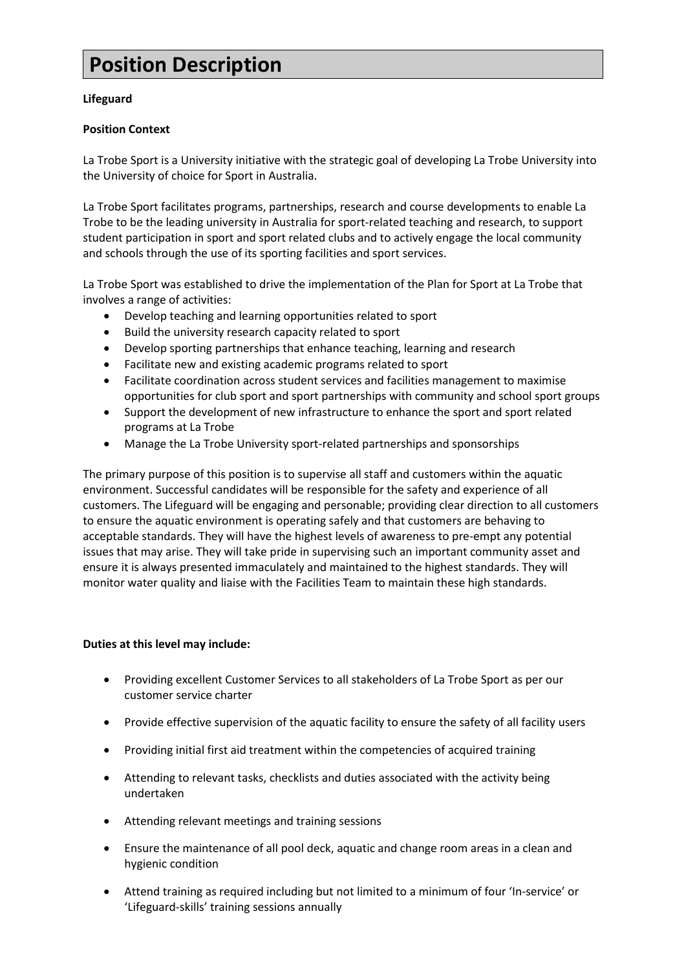## **Position Description**

#### **Lifeguard**

#### **Position Context**

La Trobe Sport is a University initiative with the strategic goal of developing La Trobe University into the University of choice for Sport in Australia.

La Trobe Sport facilitates programs, partnerships, research and course developments to enable La Trobe to be the leading university in Australia for sport-related teaching and research, to support student participation in sport and sport related clubs and to actively engage the local community and schools through the use of its sporting facilities and sport services.

La Trobe Sport was established to drive the implementation of the Plan for Sport at La Trobe that involves a range of activities:

- Develop teaching and learning opportunities related to sport
- Build the university research capacity related to sport
- Develop sporting partnerships that enhance teaching, learning and research
- Facilitate new and existing academic programs related to sport
- Facilitate coordination across student services and facilities management to maximise opportunities for club sport and sport partnerships with community and school sport groups
- Support the development of new infrastructure to enhance the sport and sport related programs at La Trobe
- Manage the La Trobe University sport-related partnerships and sponsorships

The primary purpose of this position is to supervise all staff and customers within the aquatic environment. Successful candidates will be responsible for the safety and experience of all customers. The Lifeguard will be engaging and personable; providing clear direction to all customers to ensure the aquatic environment is operating safely and that customers are behaving to acceptable standards. They will have the highest levels of awareness to pre-empt any potential issues that may arise. They will take pride in supervising such an important community asset and ensure it is always presented immaculately and maintained to the highest standards. They will monitor water quality and liaise with the Facilities Team to maintain these high standards.

#### **Duties at this level may include:**

- Providing excellent Customer Services to all stakeholders of La Trobe Sport as per our customer service charter
- Provide effective supervision of the aquatic facility to ensure the safety of all facility users
- Providing initial first aid treatment within the competencies of acquired training
- Attending to relevant tasks, checklists and duties associated with the activity being undertaken
- Attending relevant meetings and training sessions
- Ensure the maintenance of all pool deck, aquatic and change room areas in a clean and hygienic condition
- Attend training as required including but not limited to a minimum of four 'In-service' or 'Lifeguard-skills' training sessions annually